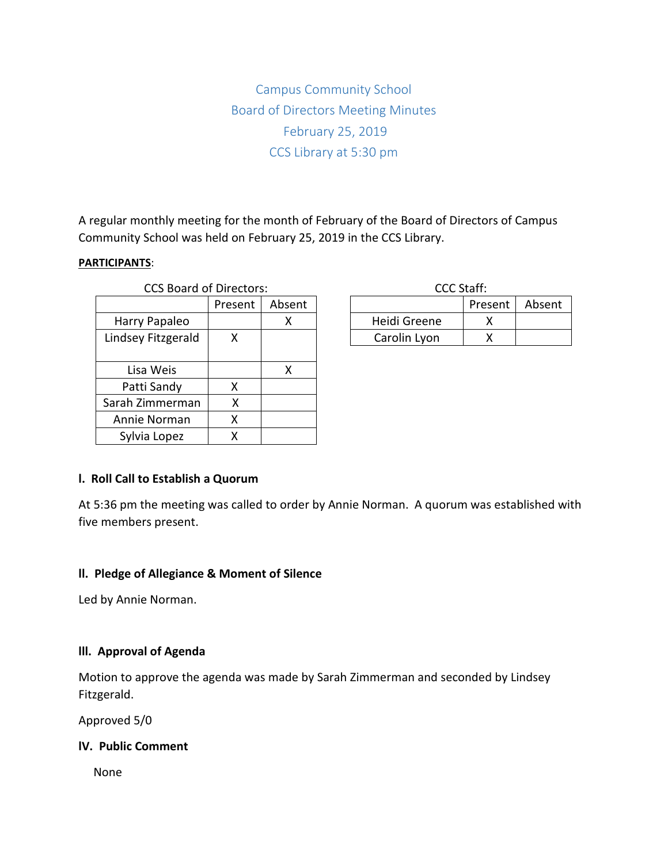Campus Community School Board of Directors Meeting Minutes February 25, 2019 CCS Library at 5:30 pm

A regular monthly meeting for the month of February of the Board of Directors of Campus Community School was held on February 25, 2019 in the CCS Library.

#### **PARTICIPANTS**:

| <b>CCS Board of Directors:</b> |         |        | CCC Staff:   |      |
|--------------------------------|---------|--------|--------------|------|
|                                | Present | Absent |              | Pres |
| Harry Papaleo                  |         | x      | Heidi Greene |      |
| Lindsey Fitzgerald             | X       |        | Carolin Lyon |      |
|                                |         |        |              |      |
| Lisa Weis                      |         | X      |              |      |
| Patti Sandy                    | x       |        |              |      |
| Sarah Zimmerman                | Χ       |        |              |      |
| Annie Norman                   | Χ       |        |              |      |
| Sylvia Lopez                   | x       |        |              |      |

| CCC Staff:   |         |        |  |  |  |  |
|--------------|---------|--------|--|--|--|--|
|              | Present | Absent |  |  |  |  |
| Heidi Greene |         |        |  |  |  |  |
| Carolin Lyon |         |        |  |  |  |  |

### **l. Roll Call to Establish a Quorum**

At 5:36 pm the meeting was called to order by Annie Norman. A quorum was established with five members present.

#### **ll. Pledge of Allegiance & Moment of Silence**

Led by Annie Norman.

### **lll. Approval of Agenda**

Motion to approve the agenda was made by Sarah Zimmerman and seconded by Lindsey Fitzgerald.

Approved 5/0

### **lV. Public Comment**

None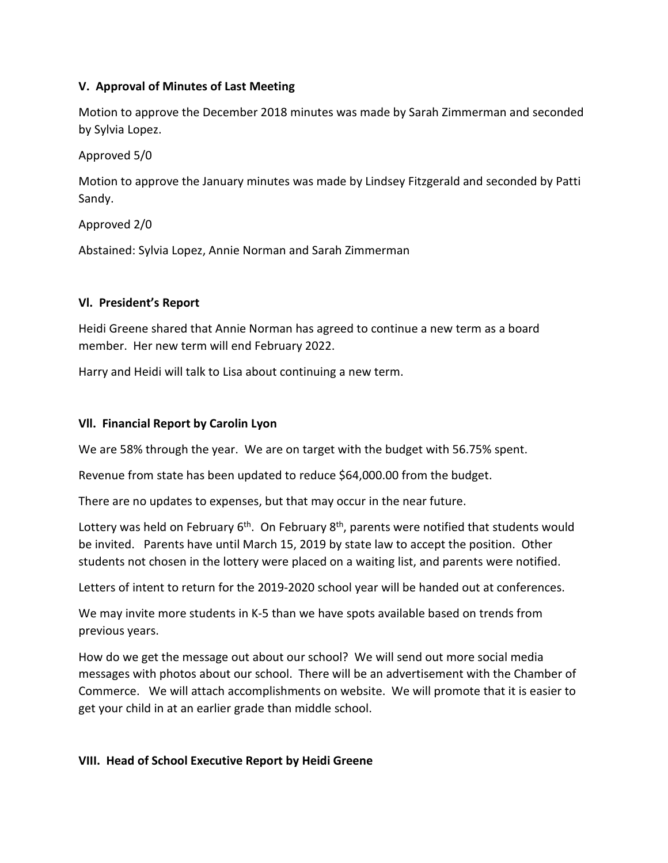# **V. Approval of Minutes of Last Meeting**

Motion to approve the December 2018 minutes was made by Sarah Zimmerman and seconded by Sylvia Lopez.

Approved 5/0

Motion to approve the January minutes was made by Lindsey Fitzgerald and seconded by Patti Sandy.

Approved 2/0

Abstained: Sylvia Lopez, Annie Norman and Sarah Zimmerman

## **Vl. President's Report**

Heidi Greene shared that Annie Norman has agreed to continue a new term as a board member. Her new term will end February 2022.

Harry and Heidi will talk to Lisa about continuing a new term.

### **Vll. Financial Report by Carolin Lyon**

We are 58% through the year. We are on target with the budget with 56.75% spent.

Revenue from state has been updated to reduce \$64,000.00 from the budget.

There are no updates to expenses, but that may occur in the near future.

Lottery was held on February  $6<sup>th</sup>$ . On February  $8<sup>th</sup>$ , parents were notified that students would be invited. Parents have until March 15, 2019 by state law to accept the position. Other students not chosen in the lottery were placed on a waiting list, and parents were notified.

Letters of intent to return for the 2019-2020 school year will be handed out at conferences.

We may invite more students in K-5 than we have spots available based on trends from previous years.

How do we get the message out about our school? We will send out more social media messages with photos about our school. There will be an advertisement with the Chamber of Commerce. We will attach accomplishments on website. We will promote that it is easier to get your child in at an earlier grade than middle school.

### **VIII. Head of School Executive Report by Heidi Greene**